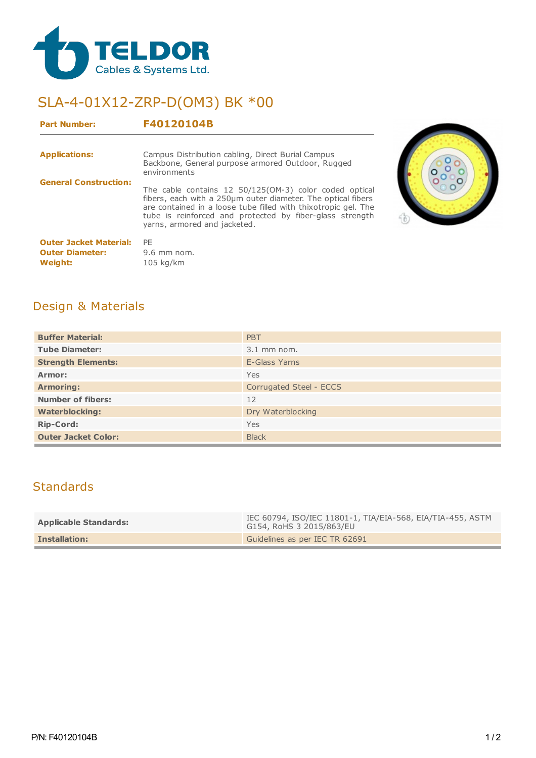

## SLA-4-01X12-ZRP-D(OM3) BK \*00

| <b>Part Number:</b>                                                | F40120104B                                                                                                                                                                                                                                                                           |
|--------------------------------------------------------------------|--------------------------------------------------------------------------------------------------------------------------------------------------------------------------------------------------------------------------------------------------------------------------------------|
| <b>Applications:</b>                                               | Campus Distribution cabling, Direct Burial Campus<br>Backbone, General purpose armored Outdoor, Rugged<br>environments                                                                                                                                                               |
| <b>General Construction:</b>                                       | The cable contains 12 50/125(OM-3) color coded optical<br>fibers, each with a 250um outer diameter. The optical fibers<br>are contained in a loose tube filled with thixotropic gel. The<br>tube is reinforced and protected by fiber-glass strength<br>yarns, armored and jacketed. |
| <b>Outer Jacket Material:</b><br><b>Outer Diameter:</b><br>Weight: | PE<br>$9.6$ mm nom.<br>$105$ kg/km                                                                                                                                                                                                                                                   |



## Design & Materials

| <b>Buffer Material:</b>    | PBT                     |  |
|----------------------------|-------------------------|--|
| <b>Tube Diameter:</b>      | $3.1$ mm nom.           |  |
| <b>Strength Elements:</b>  | E-Glass Yarns           |  |
| Armor:                     | Yes                     |  |
| <b>Armoring:</b>           | Corrugated Steel - ECCS |  |
| <b>Number of fibers:</b>   | 12                      |  |
| <b>Waterblocking:</b>      | Dry Waterblocking       |  |
| <b>Rip-Cord:</b>           | Yes                     |  |
| <b>Outer Jacket Color:</b> | <b>Black</b>            |  |

## **Standards**

| <b>Applicable Standards:</b> | IEC 60794, ISO/IEC 11801-1, TIA/EIA-568, EIA/TIA-455, ASTM<br>G154, RoHS 3 2015/863/EU |
|------------------------------|----------------------------------------------------------------------------------------|
| <b>Installation:</b>         | Guidelines as per IEC TR 62691                                                         |